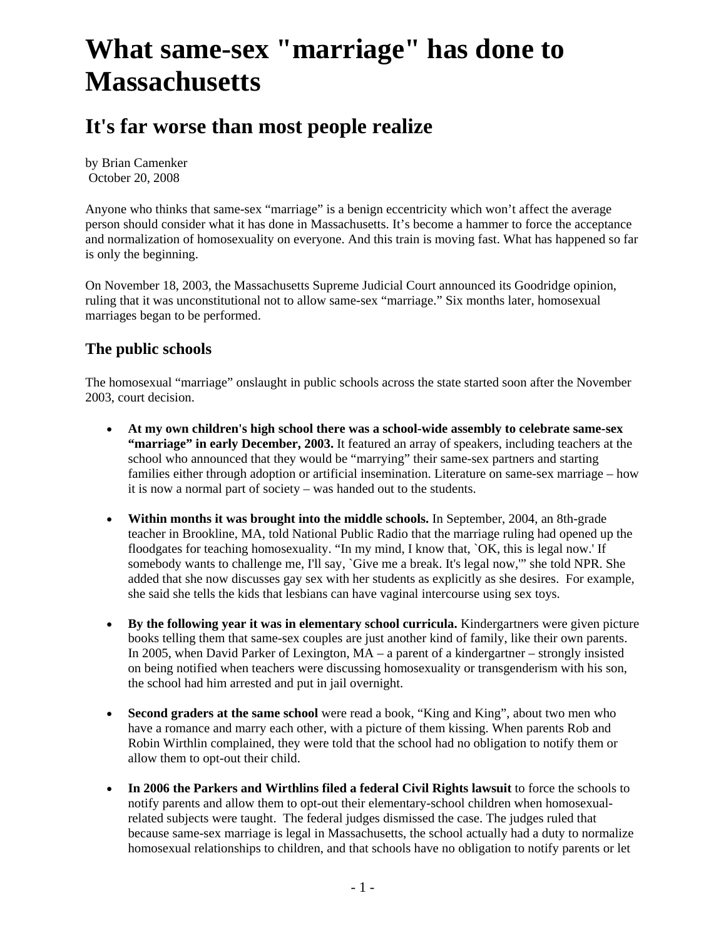# **What same-sex "marriage" has done to Massachusetts**

# **It's far worse than most people realize**

by Brian Camenker October 20, 2008

Anyone who thinks that same-sex "marriage" is a benign eccentricity which won't affect the average person should consider what it has done in Massachusetts. It's become a hammer to force the acceptance and normalization of homosexuality on everyone. And this train is moving fast. What has happened so far is only the beginning.

On November 18, 2003, the Massachusetts Supreme Judicial Court announced its Goodridge opinion, ruling that it was unconstitutional not to allow same-sex "marriage." Six months later, homosexual marriages began to be performed.

# **The public schools**

The homosexual "marriage" onslaught in public schools across the state started soon after the November 2003, court decision.

- **At my own children's high school there was a school-wide assembly to celebrate same-sex "marriage" in early December, 2003.** It featured an array of speakers, including teachers at the school who announced that they would be "marrying" their same-sex partners and starting families either through adoption or artificial insemination. Literature on same-sex marriage – how it is now a normal part of society – was handed out to the students.
- **Within months it was brought into the middle schools.** In September, 2004, an 8th-grade teacher in Brookline, MA, told National Public Radio that the marriage ruling had opened up the floodgates for teaching homosexuality. "In my mind, I know that, `OK, this is legal now.' If somebody wants to challenge me, I'll say, `Give me a break. It's legal now,'" she told NPR. She added that she now discusses gay sex with her students as explicitly as she desires. For example, she said she tells the kids that lesbians can have vaginal intercourse using sex toys.
- **By the following year it was in elementary school curricula.** Kindergartners were given picture books telling them that same-sex couples are just another kind of family, like their own parents. In 2005, when David Parker of Lexington, MA – a parent of a kindergartner – strongly insisted on being notified when teachers were discussing homosexuality or transgenderism with his son, the school had him arrested and put in jail overnight.
- **Second graders at the same school** were read a book, "King and King", about two men who have a romance and marry each other, with a picture of them kissing. When parents Rob and Robin Wirthlin complained, they were told that the school had no obligation to notify them or allow them to opt-out their child.
- **In 2006 the Parkers and Wirthlins filed a federal Civil Rights lawsuit** to force the schools to notify parents and allow them to opt-out their elementary-school children when homosexualrelated subjects were taught. The federal judges dismissed the case. The judges ruled that because same-sex marriage is legal in Massachusetts, the school actually had a duty to normalize homosexual relationships to children, and that schools have no obligation to notify parents or let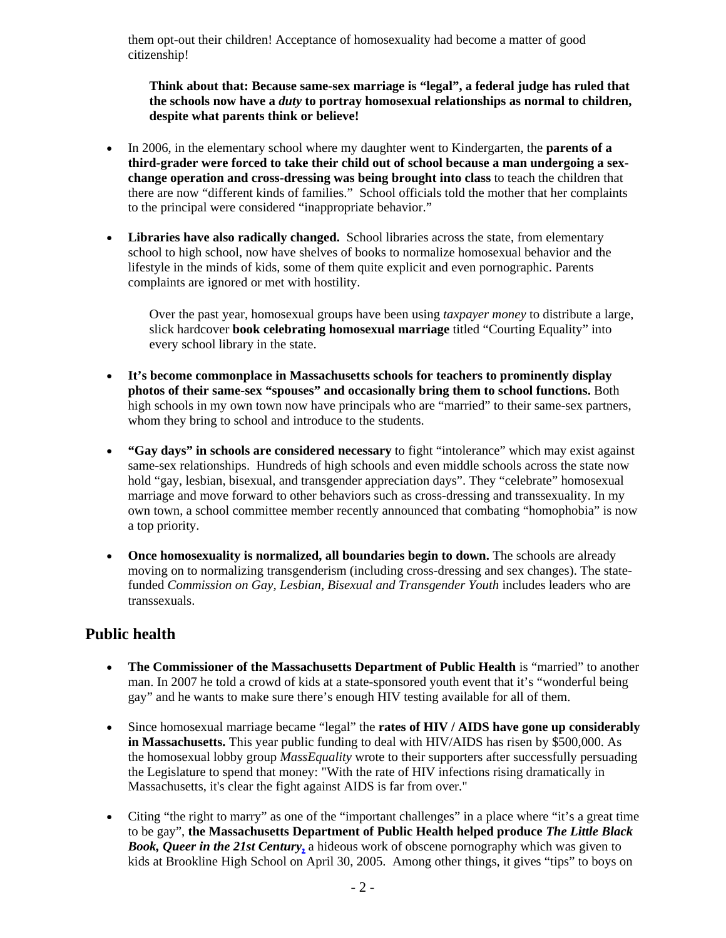them opt-out their children! Acceptance of homosexuality had become a matter of good citizenship!

**Think about that: Because same-sex marriage is "legal", a federal judge has ruled that the schools now have a** *duty* **to portray homosexual relationships as normal to children, despite what parents think or believe!**

- In 2006, in the elementary school where my daughter went to Kindergarten, the **parents of a third-grader were forced to take their child out of school because a man undergoing a sexchange operation and cross-dressing was being brought into class** to teach the children that there are now "different kinds of families." School officials told the mother that her complaints to the principal were considered "inappropriate behavior."
- **Libraries have also radically changed.** School libraries across the state, from elementary school to high school, now have shelves of books to normalize homosexual behavior and the lifestyle in the minds of kids, some of them quite explicit and even pornographic. Parents complaints are ignored or met with hostility.

Over the past year, homosexual groups have been using *taxpayer money* to distribute a large, slick hardcover **book celebrating homosexual marriage** titled "Courting Equality" into every school library in the state.

- **It's become commonplace in Massachusetts schools for teachers to prominently display photos of their same-sex "spouses" and occasionally bring them to school functions.** Both high schools in my own town now have principals who are "married" to their same-sex partners, whom they bring to school and introduce to the students.
- **"Gay days" in schools are considered necessary** to fight "intolerance" which may exist against same-sex relationships. Hundreds of high schools and even middle schools across the state now hold "gay, lesbian, bisexual, and transgender appreciation days". They "celebrate" homosexual marriage and move forward to other behaviors such as cross-dressing and transsexuality. In my own town, a school committee member recently announced that combating "homophobia" is now a top priority.
- **Once homosexuality is normalized, all boundaries begin to down.** The schools are already moving on to normalizing transgenderism (including cross-dressing and sex changes). The statefunded *Commission on Gay, Lesbian, Bisexual and Transgender Youth* includes leaders who are transsexuals.

## **Public health**

- **The Commissioner of the Massachusetts Department of Public Health** is "married" to another man. In 2007 he told a crowd of kids at a state-sponsored youth event that it's "wonderful being gay" and he wants to make sure there's enough HIV testing available for all of them.
- Since homosexual marriage became "legal" the **rates of HIV / AIDS have gone up considerably in Massachusetts.** This year public funding to deal with HIV/AIDS has risen by \$500,000. As the homosexual lobby group *MassEquality* wrote to their supporters after successfully persuading the Legislature to spend that money: "With the rate of HIV infections rising dramatically in Massachusetts, it's clear the fight against AIDS is far from over."
- Citing "the right to marry" as one of the "important challenges" in a place where "it's a great time to be gay", **the Massachusetts Department of Public Health helped produce** *The Little Black Book, Queer in the 21st Century***,** a hideous work of obscene pornography which was given to kids at Brookline High School on April 30, 2005. Among other things, it gives "tips" to boys on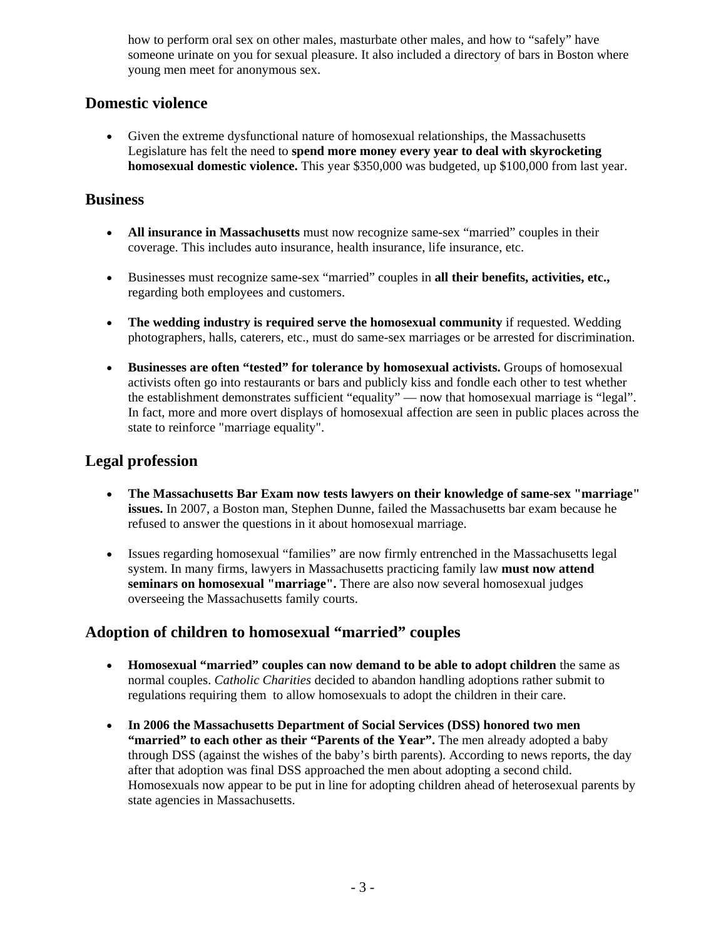how to perform oral sex on other males, masturbate other males, and how to "safely" have someone urinate on you for sexual pleasure. It also included a directory of bars in Boston where young men meet for anonymous sex.

# **Domestic violence**

• Given the extreme dysfunctional nature of homosexual relationships, the Massachusetts Legislature has felt the need to **spend more money every year to deal with skyrocketing homosexual domestic violence.** This year \$350,000 was budgeted, up \$100,000 from last year.

#### **Business**

- **All insurance in Massachusetts** must now recognize same-sex "married" couples in their coverage. This includes auto insurance, health insurance, life insurance, etc.
- Businesses must recognize same-sex "married" couples in **all their benefits, activities, etc.,** regarding both employees and customers.
- **The wedding industry is required serve the homosexual community** if requested. Wedding photographers, halls, caterers, etc., must do same-sex marriages or be arrested for discrimination.
- **Businesses are often "tested" for tolerance by homosexual activists.** Groups of homosexual activists often go into restaurants or bars and publicly kiss and fondle each other to test whether the establishment demonstrates sufficient "equality" — now that homosexual marriage is "legal". In fact, more and more overt displays of homosexual affection are seen in public places across the state to reinforce "marriage equality".

# **Legal profession**

- **The Massachusetts Bar Exam now tests lawyers on their knowledge of same-sex "marriage" issues.** In 2007, a Boston man, Stephen Dunne, failed the Massachusetts bar exam because he refused to answer the questions in it about homosexual marriage.
- Issues regarding homosexual "families" are now firmly entrenched in the Massachusetts legal system. In many firms, lawyers in Massachusetts practicing family law **must now attend seminars on homosexual "marriage".** There are also now several homosexual judges overseeing the Massachusetts family courts.

## **Adoption of children to homosexual "married" couples**

- **Homosexual "married" couples can now demand to be able to adopt children** the same as normal couples. *Catholic Charities* decided to abandon handling adoptions rather submit to regulations requiring them to allow homosexuals to adopt the children in their care.
- **In 2006 the Massachusetts Department of Social Services (DSS) honored two men "married" to each other as their "Parents of the Year".** The men already adopted a baby through DSS (against the wishes of the baby's birth parents). According to news reports, the day after that adoption was final DSS approached the men about adopting a second child. Homosexuals now appear to be put in line for adopting children ahead of heterosexual parents by state agencies in Massachusetts.